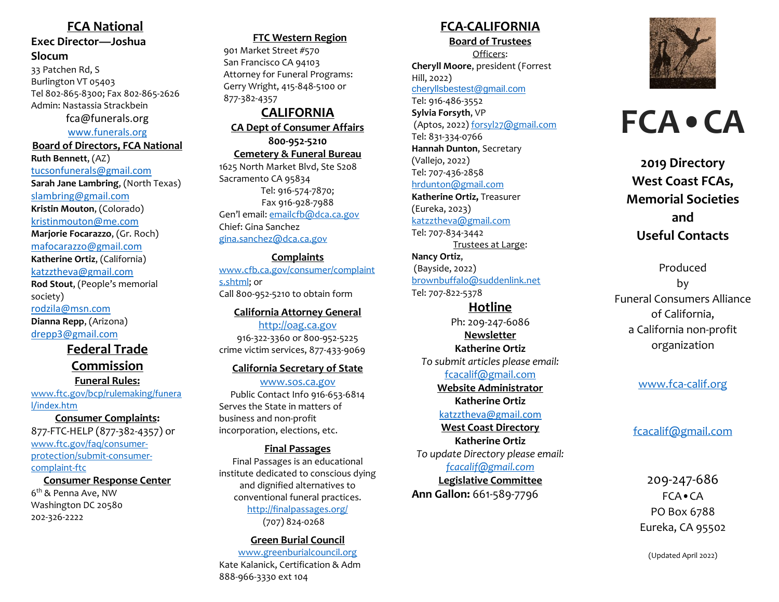## **FCA National**

## **Exec Director—Joshua Slocum**

33 Patchen Rd, S Burlington VT 05403 Tel 802-865-8300; Fax 802-865-2626 Admin: Nastassia Strackbein

[fca@funerals.org](mailto:fca@funerals.org)

[www.funerals.org](http://www.funerals.org/)

**Board of Directors, FCA National Ruth Bennett**, (AZ) [tucsonfunerals@gmail.com](mailto:tucsonfunerals@gmail.com) **Sarah Jane Lambring**, (North Texas) [slambring@gmail.com](mailto:slambring@gmail.com) **Kristin Mouton**, (Colorado) [kristinmouton@me.com](mailto:kristinmouton@me.com) **Marjorie Focarazzo**, (Gr. Roch) [mafocarazzo@gmail.com](mailto:mafocarazzo@gmail.com) **Katherine Ortiz**, (California) [katzztheva@gmail.com](mailto:katzztheva@gmail.com) **Rod Stout**, (People's memorial society)

[rodzila@msn.com](mailto:rodzila@msn.com) **Dianna Repp**, (Arizona) [drepp3@gmail.com](mailto:drepp3@gmail.com)

## **Federal Trade Commission Funeral Rules:**

[www.ftc.gov/bcp/rulemaking/](http://www.ftc.gov/bcp/rulemaking/funeral/index.htm)[funera](http://www.ftc.gov/bcp/rulemaking/funeral/index.htm) [l/index.htm](http://www.ftc.gov/bcp/rulemaking/funeral/index.htm)

**Consumer Complaints:** 877-FTC-HELP (877-382-4357) or [www.ftc.gov/faq/consumer](http://www.ftc.gov/faq/consumer-protection/submit-consumer-complaint-ftc)[protection/submit-consumer](http://www.ftc.gov/faq/consumer-protection/submit-consumer-complaint-ftc)[complaint-ftc](http://www.ftc.gov/faq/consumer-protection/submit-consumer-complaint-ftc)

#### **Consumer Response Center**

6<sup>th</sup> & Penna Ave, NW Washington DC 20580 202-326-2222

## **FTC Western Region**

901 Market Street #570 San Francisco CA 94103 Attorney for Funeral Programs: Gerry Wright, 415-848-5100 or 877-382-4357

### **CALIFORNIA CA Dept of Consumer Affairs 800-952-5210 Cemetery & Funeral Bureau** 1625 North Market Blvd, Ste S208

Sacramento CA 95834 Tel: 916-574-7870; Fax 916-928-7988 Gen'l email: [emailcfb@dca.ca.gov](mailto:emailcfb@dca.ca.gov) Chief: Gina Sanchez [gina.sanchez@dca.ca.gov](mailto:gina.sanchez@dca.ca.gov)

**Complaints** [www.cfb.ca.gov/consumer/complaint](http://www.cfb.ca.gov/consumer/complaints.shtml) [s.shtml;](http://www.cfb.ca.gov/consumer/complaints.shtml) or Call 800-952-5210 to obtain form

**California Attorney General** [http://oag.ca.gov](http://oag.ca.gov/) 916-322-3360 or 800-952-5225 crime victim services, 877-433-9069

## **California Secretary of State**

[www.sos.ca.gov](http://www.sos.ca.gov/) Public Contact Info 916-653-6814 Serves the State in matters of business and non-profit incorporation, elections, etc.

**Final Passages** Final Passages is an educational institute dedicated to conscious dying and dignified alternatives to conventional funeral practices.

<http://finalpassages.org/> (707) 824-0268

## **Green Burial Council**

[www.greenburialcouncil.org](http://www.greenburialcouncil.org/) Kate Kalanick, Certification & Adm 888-966-3330 ext 104

## **FCA-CALIFORNIA**

**Board of Trustees**

Officers: **Cheryll Moore**, president (Forrest Hill, 2022) [cheryllsbestest@gmail.com](mailto:cheryllsbestest@gmail.com) Tel: 916-486-3552 **Sylvia Forsyth**, VP (Aptos, 2022) [forsyl27@gmail.com](mailto:forsyl27@gmail.com) Tel: 831-334-0766 **Hannah Dunton**, Secretary (Vallejo, 2022) Tel: 707-436-2858 [hrdunton@gmail.com](mailto:hrdunton@gmail.com) **Katherine Ortiz,** Treasurer (Eureka, 2023) [katzztheva@gmail.com](mailto:katzztheva@gmail.com) Tel: 707-834-3442 Trustees at Large:

**Nancy Ortiz**, (Bayside, 2022) [brownbuffalo@suddenlink.net](mailto:brownbuffalo@suddenlink.net) Tel: 707-822-5378

**Hotline** Ph: 209-247-6086 **Newsletter Katherine Ortiz** *To submit articles please email:* fcacalif@gmail.com **Website Administrator**

# **Katherine Ortiz**

[katzztheva@gmail.com](mailto:katzztheva@gmail.com) 

**West Coast Directory Katherine Ortiz** *To update Directory please email: [fcacalif@gmail.com](mailto:fcacalif@gmail.com)* **Legislative Committee Ann Gallon:** 661-589-7796



# **FCA•CA**

**2019 Directory West Coast FCAs, Memorial Societies and Useful Contacts**

Produced by Funeral Consumers Alliance of California, a California non-profit organization

## [www.fca-calif.org](http://www.fca-calif.org/)

## [fcacalif@gmail.com](mailto:info@fca-calif.org)

209-247-686 FCA•CA PO Box 6788 Eureka, CA 95502

(Updated April 2022)